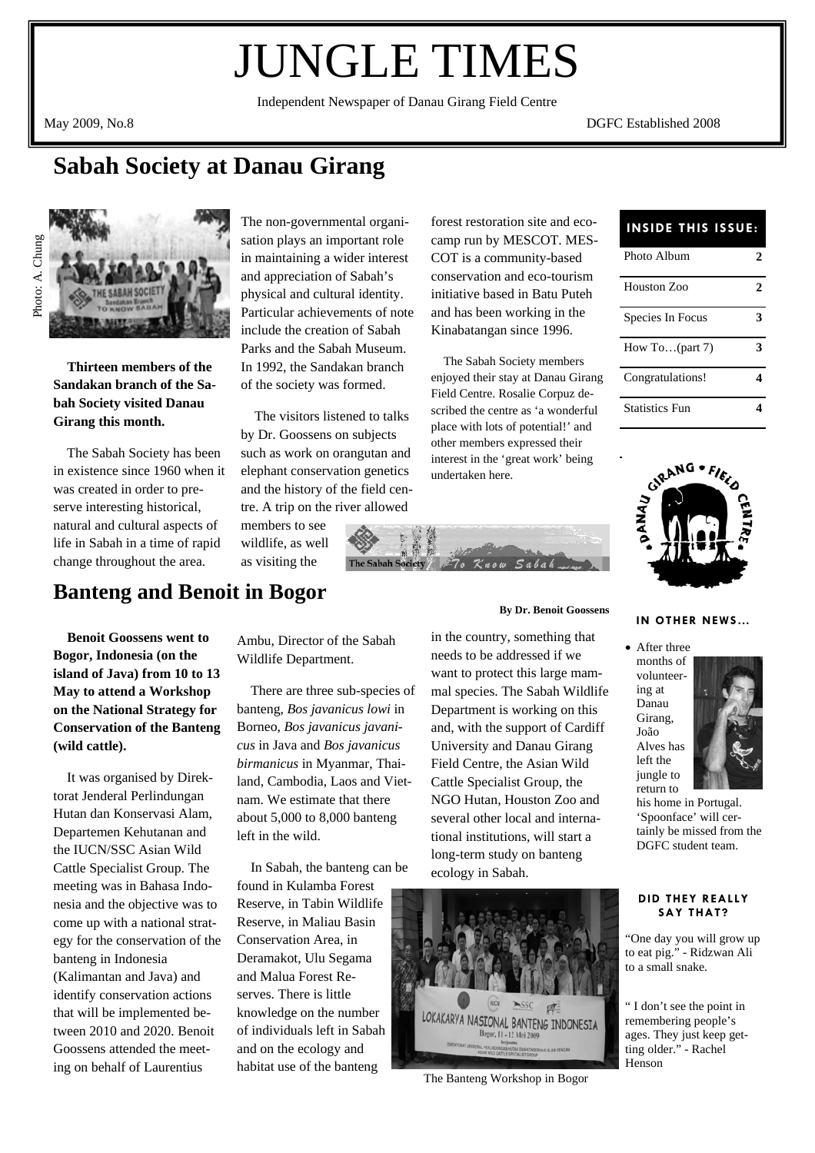# JUNGLE TIMES

Independent Newspaper of Danau Girang Field Centre

May 2009, No.8 DGFC Established 2008

### **Sabah Society at Danau Girang**





 **Thirteen members of the Sandakan branch of the Sabah Society visited Danau Girang this month.** 

 The Sabah Society has been in existence since 1960 when it was created in order to preserve interesting historical, natural and cultural aspects of life in Sabah in a time of rapid change throughout the area.

The non-governmental organisation plays an important role in maintaining a wider interest and appreciation of Sabah's physical and cultural identity. Particular achievements of note include the creation of Sabah Parks and the Sabah Museum. In 1992, the Sandakan branch of the society was formed.

 The visitors listened to talks by Dr. Goossens on subjects such as work on orangutan and elephant conservation genetics and the history of the field centre. A trip on the river allowed

members to see wildlife, as well as visiting the

forest restoration site and eco-**INSIDE THIS ISSUE**: camp run by MESCOT. MES-COT is a community-based conservation and eco-tourism initiative based in Batu Puteh and has been working in the Kinabatangan since 1996.

 The Sabah Society members enjoyed their stay at Danau Girang Field Centre. Rosalie Corpuz described the centre as 'a wonderful place with lots of potential!' and other members expressed their interest in the 'great work' being undertaken here.

**By Dr. Benoit Goossens** 

in the country, something that needs to be addressed if we want to protect this large mammal species. The Sabah Wildlife Department is working on this and, with the support of Cardiff University and Danau Girang Field Centre, the Asian Wild Cattle Specialist Group, the NGO Hutan, Houston Zoo and several other local and international institutions, will start a long-term study on banteng ecology in Sabah.



The Banteng Workshop in Bogor

| Photo Album           | 2            |
|-----------------------|--------------|
| Houston Zoo           | $\mathbf{c}$ |
| Species In Focus      | 3            |
| How To $part 7$       | 3            |
| Congratulations!      |              |
| <b>Statistics Fun</b> |              |



### **IN OTHER NEWS…**

• After three months of volunteering at Danau Girang, João Alves has left the jungle to return to



his home in Portugal. 'Spoonface' will certainly be missed from the DGFC student team.

#### **DID THEY REALLY SAY THAT?**

"One day you will grow up to eat pig." - Ridzwan Ali to a small snake.

" I don't see the point in remembering people's ages. They just keep getting older." - Rachel Henson

### **Banteng and Benoit in Bogor**

 **Benoit Goossens went to Bogor, Indonesia (on the island of Java) from 10 to 13 May to attend a Workshop on the National Strategy for Conservation of the Banteng (wild cattle).** 

 It was organised by Direktorat Jenderal Perlindungan Hutan dan Konservasi Alam, Departemen Kehutanan and the IUCN/SSC Asian Wild Cattle Specialist Group. The meeting was in Bahasa Indonesia and the objective was to come up with a national strategy for the conservation of the banteng in Indonesia (Kalimantan and Java) and identify conservation actions that will be implemented between 2010 and 2020. Benoit Goossens attended the meeting on behalf of Laurentius

Ambu, Director of the Sabah Wildlife Department.

 There are three sub-species of banteng, *Bos javanicus lowi* in Borneo, *Bos javanicus javanicus* in Java and *Bos javanicus birmanicus* in Myanmar, Thailand, Cambodia, Laos and Vietnam. We estimate that there about 5,000 to 8,000 banteng left in the wild.

 In Sabah, the banteng can be found in Kulamba Forest Reserve, in Tabin Wildlife Reserve, in Maliau Basin Conservation Area, in Deramakot, Ulu Segama and Malua Forest Reserves. There is little knowledge on the number of individuals left in Sabah and on the ecology and habitat use of the banteng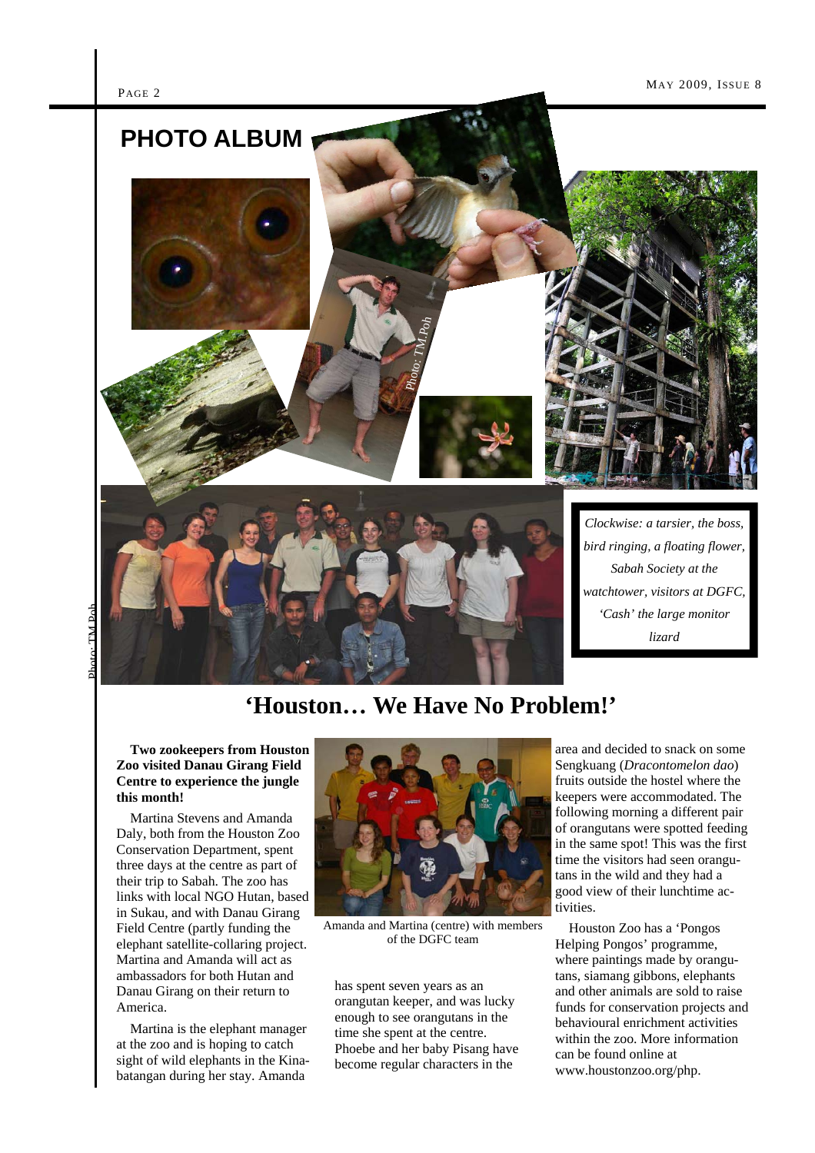

**'Houston… We Have No Problem!'** 

#### **Two zookeepers from Houston Zoo visited Danau Girang Field Centre to experience the jungle this month!**

Martina Stevens and Amanda Daly, both from the Houston Zoo Conservation Department, spent three days at the centre as part of their trip to Sabah. The zoo has links with local NGO Hutan, based in Sukau, and with Danau Girang Field Centre (partly funding the elephant satellite-collaring project. Martina and Amanda will act as ambassadors for both Hutan and Danau Girang on their return to America.

 Martina is the elephant manager at the zoo and is hoping to catch sight of wild elephants in the Kinabatangan during her stay. Amanda



Amanda and Martina (centre) with members of the DGFC team

has spent seven years as an orangutan keeper, and was lucky enough to see orangutans in the time she spent at the centre. Phoebe and her baby Pisang have become regular characters in the

area and decided to snack on some Sengkuang (*Dracontomelon dao*) fruits outside the hostel where the keepers were accommodated. The following morning a different pair of orangutans were spotted feeding in the same spot! This was the first time the visitors had seen orangutans in the wild and they had a good view of their lunchtime activities.

 Houston Zoo has a 'Pongos Helping Pongos' programme, where paintings made by orangutans, siamang gibbons, elephants and other animals are sold to raise funds for conservation projects and behavioural enrichment activities within the zoo. More information can be found online at www.houstonzoo.org/php.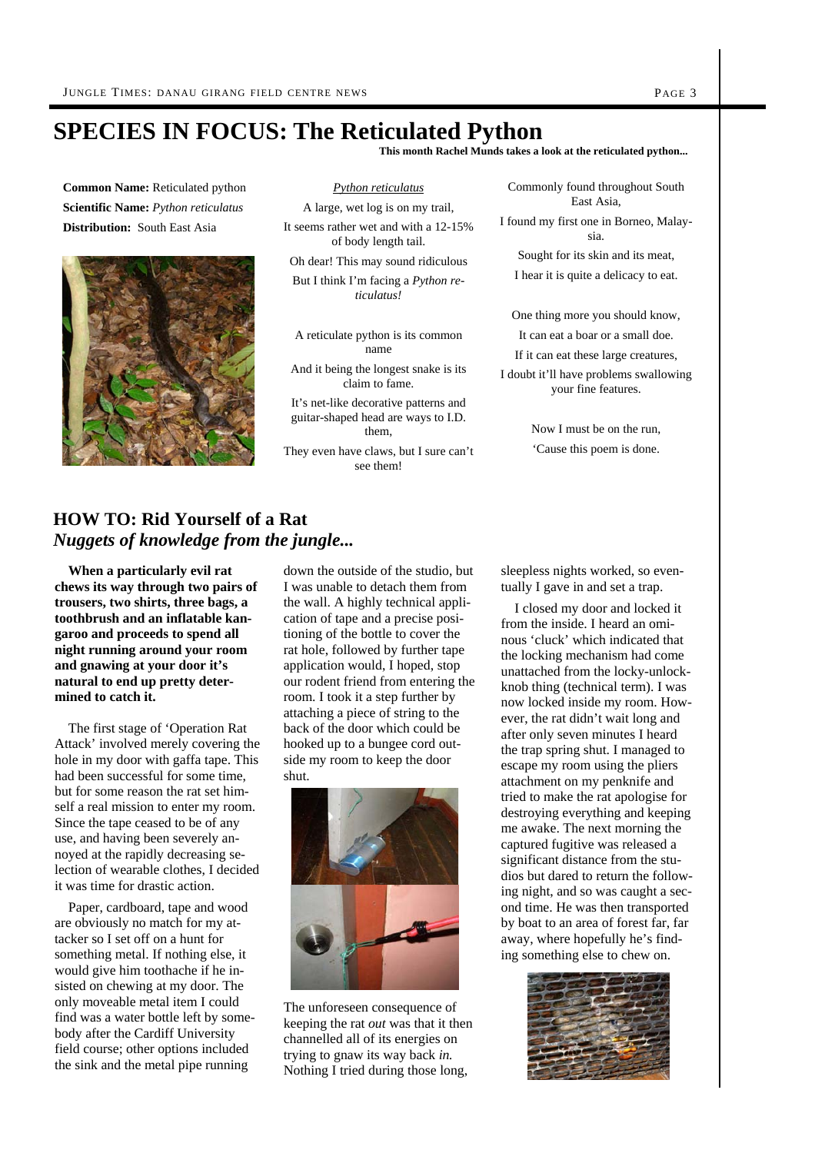### **SPECIES IN FOCUS: The Reticulated Python**

**This month Rachel Munds takes a look at the reticulated python...** 

**Common Name:** Reticulated python **Scientific Name:** *Python reticulatus*  **Distribution:** South East Asia



*Python reticulatus* A large, wet log is on my trail, It seems rather wet and with a 12-15% of body length tail.

Oh dear! This may sound ridiculous

But I think I'm facing a *Python reticulatus!* 

A reticulate python is its common name

And it being the longest snake is its claim to fame.

It's net-like decorative patterns and guitar-shaped head are ways to I.D. them,

They even have claws, but I sure can't see them!

Commonly found throughout South East Asia,

I found my first one in Borneo, Malaysia.

Sought for its skin and its meat, I hear it is quite a delicacy to eat.

One thing more you should know, It can eat a boar or a small doe.

If it can eat these large creatures,

I doubt it'll have problems swallowing your fine features.

> Now I must be on the run, 'Cause this poem is done.

### **HOW TO: Rid Yourself of a Rat**  *Nuggets of knowledge from the jungle...*

 **When a particularly evil rat chews its way through two pairs of trousers, two shirts, three bags, a toothbrush and an inflatable kangaroo and proceeds to spend all night running around your room and gnawing at your door it's natural to end up pretty determined to catch it.**

 The first stage of 'Operation Rat Attack' involved merely covering the hole in my door with gaffa tape. This had been successful for some time, but for some reason the rat set himself a real mission to enter my room. Since the tape ceased to be of any use, and having been severely annoyed at the rapidly decreasing selection of wearable clothes, I decided it was time for drastic action.

 Paper, cardboard, tape and wood are obviously no match for my attacker so I set off on a hunt for something metal. If nothing else, it would give him toothache if he insisted on chewing at my door. The only moveable metal item I could find was a water bottle left by somebody after the Cardiff University field course; other options included the sink and the metal pipe running

down the outside of the studio, but I was unable to detach them from the wall. A highly technical application of tape and a precise positioning of the bottle to cover the rat hole, followed by further tape application would, I hoped, stop our rodent friend from entering the room. I took it a step further by attaching a piece of string to the back of the door which could be hooked up to a bungee cord outside my room to keep the door shut.



The unforeseen consequence of keeping the rat *out* was that it then channelled all of its energies on trying to gnaw its way back *in.*  Nothing I tried during those long,

sleepless nights worked, so eventually I gave in and set a trap.

 I closed my door and locked it from the inside. I heard an ominous 'cluck' which indicated that the locking mechanism had come unattached from the locky-unlockknob thing (technical term). I was now locked inside my room. However, the rat didn't wait long and after only seven minutes I heard the trap spring shut. I managed to escape my room using the pliers attachment on my penknife and tried to make the rat apologise for destroying everything and keeping me awake. The next morning the captured fugitive was released a significant distance from the studios but dared to return the following night, and so was caught a second time. He was then transported by boat to an area of forest far, far away, where hopefully he's finding something else to chew on.